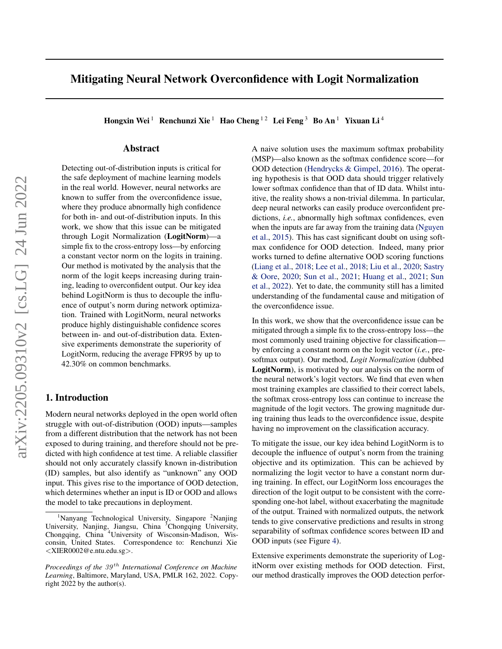# Mitigating Neural Network Overconfidence with Logit Normalization

Hongxin Wei<sup>1</sup> Renchunzi Xie<sup>1</sup> Hao Cheng<sup>12</sup> Lei Feng<sup>3</sup> Bo An<sup>1</sup> Yixuan Li<sup>4</sup>

## Abstract

Detecting out-of-distribution inputs is critical for the safe deployment of machine learning models in the real world. However, neural networks are known to suffer from the overconfidence issue, where they produce abnormally high confidence for both in- and out-of-distribution inputs. In this work, we show that this issue can be mitigated through Logit Normalization (LogitNorm)—a simple fix to the cross-entropy loss—by enforcing a constant vector norm on the logits in training. Our method is motivated by the analysis that the norm of the logit keeps increasing during training, leading to overconfident output. Our key idea behind LogitNorm is thus to decouple the influence of output's norm during network optimization. Trained with LogitNorm, neural networks produce highly distinguishable confidence scores between in- and out-of-distribution data. Extensive experiments demonstrate the superiority of LogitNorm, reducing the average FPR95 by up to 42.30% on common benchmarks.

#### 1. Introduction

Modern neural networks deployed in the open world often struggle with out-of-distribution (OOD) inputs—samples from a different distribution that the network has not been exposed to during training, and therefore should not be predicted with high confidence at test time. A reliable classifier should not only accurately classify known in-distribution (ID) samples, but also identify as "unknown" any OOD input. This gives rise to the importance of OOD detection, which determines whether an input is ID or OOD and allows the model to take precautions in deployment.

A naive solution uses the maximum softmax probability (MSP)—also known as the softmax confidence score—for OOD detection [\(Hendrycks & Gimpel,](#page-8-0) [2016\)](#page-8-0). The operating hypothesis is that OOD data should trigger relatively lower softmax confidence than that of ID data. Whilst intuitive, the reality shows a non-trivial dilemma. In particular, deep neural networks can easily produce overconfident predictions, *i.e.*, abnormally high softmax confidences, even when the inputs are far away from the training data [\(Nguyen](#page-9-0) [et al.,](#page-9-0) [2015\)](#page-9-0). This has cast significant doubt on using softmax confidence for OOD detection. Indeed, many prior works turned to define alternative OOD scoring functions [\(Liang et al.,](#page-9-1) [2018;](#page-9-1) [Lee et al.,](#page-9-2) [2018;](#page-9-2) [Liu et al.,](#page-9-3) [2020;](#page-9-3) [Sastry](#page-9-4) [& Oore,](#page-9-4) [2020;](#page-9-4) [Sun et al.,](#page-9-5) [2021;](#page-9-5) [Huang et al.,](#page-8-1) [2021;](#page-8-1) [Sun](#page-9-6) [et al.,](#page-9-6) [2022\)](#page-9-6). Yet to date, the community still has a limited understanding of the fundamental cause and mitigation of the overconfidence issue.

In this work, we show that the overconfidence issue can be mitigated through a simple fix to the cross-entropy loss—the most commonly used training objective for classification by enforcing a constant norm on the logit vector (*i.e.*, presoftmax output). Our method, *Logit Normalization* (dubbed LogitNorm), is motivated by our analysis on the norm of the neural network's logit vectors. We find that even when most training examples are classified to their correct labels, the softmax cross-entropy loss can continue to increase the magnitude of the logit vectors. The growing magnitude during training thus leads to the overconfidence issue, despite having no improvement on the classification accuracy.

To mitigate the issue, our key idea behind LogitNorm is to decouple the influence of output's norm from the training objective and its optimization. This can be achieved by normalizing the logit vector to have a constant norm during training. In effect, our LogitNorm loss encourages the direction of the logit output to be consistent with the corresponding one-hot label, without exacerbating the magnitude of the output. Trained with normalized outputs, the network tends to give conservative predictions and results in strong separability of softmax confidence scores between ID and OOD inputs (see Figure [4\)](#page-4-0).

Extensive experiments demonstrate the superiority of LogitNorm over existing methods for OOD detection. First, our method drastically improves the OOD detection perfor-

<sup>&</sup>lt;sup>1</sup>Nanyang Technological University, Singapore <sup>2</sup>Nanjing University, Nanjing, Jiangsu, China <sup>3</sup>Chongqing University, Chongqing, China <sup>4</sup>University of Wisconsin-Madison, Wisconsin, United States. Correspondence to: Renchunzi Xie <XIER0002@e.ntu.edu.sg>.

*Proceedings of the*  $39<sup>th</sup>$  *International Conference on Machine Learning*, Baltimore, Maryland, USA, PMLR 162, 2022. Copyright 2022 by the author(s).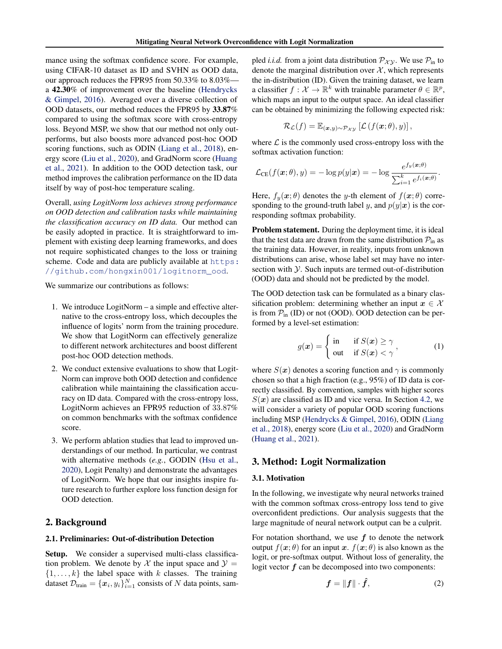mance using the softmax confidence score. For example, using CIFAR-10 dataset as ID and SVHN as OOD data, our approach reduces the FPR95 from 50.33% to 8.03% a 42.30% of improvement over the baseline [\(Hendrycks](#page-8-0) [& Gimpel,](#page-8-0) [2016\)](#page-8-0). Averaged over a diverse collection of OOD datasets, our method reduces the FPR95 by 33.87% compared to using the softmax score with cross-entropy loss. Beyond MSP, we show that our method not only outperforms, but also boosts more advanced post-hoc OOD scoring functions, such as ODIN [\(Liang et al.,](#page-9-1) [2018\)](#page-9-1), energy score [\(Liu et al.,](#page-9-3) [2020\)](#page-9-3), and GradNorm score [\(Huang](#page-8-1) [et al.,](#page-8-1) [2021\)](#page-8-1). In addition to the OOD detection task, our method improves the calibration performance on the ID data itself by way of post-hoc temperature scaling.

Overall, *using LogitNorm loss achieves strong performance on OOD detection and calibration tasks while maintaining the classification accuracy on ID data.* Our method can be easily adopted in practice. It is straightforward to implement with existing deep learning frameworks, and does not require sophisticated changes to the loss or training scheme. Code and data are publicly available at [https:](https://github.com/hongxin001/logitnorm_ood) [//github.com/hongxin001/logitnorm\\_ood](https://github.com/hongxin001/logitnorm_ood).

We summarize our contributions as follows:

- 1. We introduce LogitNorm a simple and effective alternative to the cross-entropy loss, which decouples the influence of logits' norm from the training procedure. We show that LogitNorm can effectively generalize to different network architectures and boost different post-hoc OOD detection methods.
- 2. We conduct extensive evaluations to show that Logit-Norm can improve both OOD detection and confidence calibration while maintaining the classification accuracy on ID data. Compared with the cross-entropy loss, LogitNorm achieves an FPR95 reduction of 33.87% on common benchmarks with the softmax confidence score.
- 3. We perform ablation studies that lead to improved understandings of our method. In particular, we contrast with alternative methods (*e.g.*, GODIN [\(Hsu et al.,](#page-8-2) [2020\)](#page-8-2), Logit Penalty) and demonstrate the advantages of LogitNorm. We hope that our insights inspire future research to further explore loss function design for OOD detection.

### 2. Background

#### 2.1. Preliminaries: Out-of-distribution Detection

Setup. We consider a supervised multi-class classification problem. We denote by X the input space and  $\mathcal{Y} =$  $\{1, \ldots, k\}$  the label space with k classes. The training dataset  $\mathcal{D}_{\text{train}} = \{x_i, y_i\}_{i=1}^N$  consists of N data points, sampled *i.i.d.* from a joint data distribution  $\mathcal{P}_{\mathcal{X}\mathcal{Y}}$ . We use  $\mathcal{P}_{\text{in}}$  to denote the marginal distribution over  $X$ , which represents the in-distribution (ID). Given the training dataset, we learn a classifier  $f: \mathcal{X} \to \mathbb{R}^k$  with trainable parameter  $\theta \in \mathbb{R}^p$ , which maps an input to the output space. An ideal classifier can be obtained by minimizing the following expected risk:

$$
\mathcal{R}_{\mathcal{L}}(f) = \mathbb{E}_{(\boldsymbol{x}, y) \sim \mathcal{P}_{\mathcal{X}\mathcal{Y}}} [\mathcal{L}(f(\boldsymbol{x}; \theta), y)],
$$

where  $\mathcal L$  is the commonly used cross-entropy loss with the softmax activation function:

$$
\mathcal{L}_{\text{CE}}(f(\boldsymbol{x};\theta),y) = -\log p(y|\boldsymbol{x}) = -\log \frac{e^{f_y(\boldsymbol{x};\theta)}}{\sum_{i=1}^k e^{f_i(\boldsymbol{x};\theta)}}.
$$

Here,  $f_y(\mathbf{x}; \theta)$  denotes the y-th element of  $f(\mathbf{x}; \theta)$  corresponding to the ground-truth label y, and  $p(y|x)$  is the corresponding softmax probability.

Problem statement. During the deployment time, it is ideal that the test data are drawn from the same distribution  $P_{in}$  as the training data. However, in reality, inputs from unknown distributions can arise, whose label set may have no intersection with  $Y$ . Such inputs are termed out-of-distribution (OOD) data and should not be predicted by the model.

The OOD detection task can be formulated as a binary classification problem: determining whether an input  $x \in \mathcal{X}$ is from  $P_{in}$  (ID) or not (OOD). OOD detection can be performed by a level-set estimation:

$$
g(\boldsymbol{x}) = \begin{cases} \text{ in } & \text{if } S(\boldsymbol{x}) \ge \gamma \\ \text{ out } & \text{if } S(\boldsymbol{x}) < \gamma \end{cases}, \tag{1}
$$

where  $S(x)$  denotes a scoring function and  $\gamma$  is commonly chosen so that a high fraction (e.g., 95%) of ID data is correctly classified. By convention, samples with higher scores  $S(x)$  are classified as ID and vice versa. In Section [4.2,](#page-4-1) we will consider a variety of popular OOD scoring functions including MSP [\(Hendrycks & Gimpel,](#page-8-0) [2016\)](#page-8-0), ODIN [\(Liang](#page-9-1) [et al.,](#page-9-1) [2018\)](#page-9-1), energy score [\(Liu et al.,](#page-9-3) [2020\)](#page-9-3) and GradNorm [\(Huang et al.,](#page-8-1) [2021\)](#page-8-1).

#### <span id="page-1-1"></span>3. Method: Logit Normalization

#### 3.1. Motivation

In the following, we investigate why neural networks trained with the common softmax cross-entropy loss tend to give overconfident predictions. Our analysis suggests that the large magnitude of neural network output can be a culprit.

For notation shorthand, we use  $f$  to denote the network output  $f(x; \theta)$  for an input x.  $f(x; \theta)$  is also known as the logit, or pre-softmax output. Without loss of generality, the logit vector  $f$  can be decomposed into two components:

<span id="page-1-0"></span>
$$
\boldsymbol{f} = \|\boldsymbol{f}\| \cdot \hat{\boldsymbol{f}},\tag{2}
$$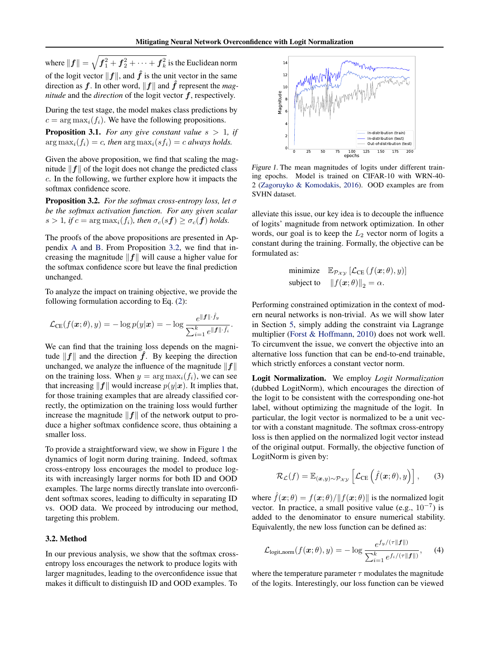where  $\| \boldsymbol{f} \| = \sqrt{\boldsymbol{f}_{1}^{2} + \boldsymbol{f}_{2}^{2} + \cdots + \boldsymbol{f}_{k}^{2}}$  is the Euclidean norm of the logit vector  $||f||$ , and  $\hat{f}$  is the unit vector in the same direction as  $f$ . In other word,  $||f||$  and  $\hat{f}$  represent the *magnitude* and the *direction* of the logit vector  $f$ , respectively.

During the test stage, the model makes class predictions by  $c = \arg \max_i(f_i)$ . We have the following propositions.

<span id="page-2-3"></span>**Proposition 3.1.** For any give constant value  $s > 1$ , if  $\arg \max_i(f_i) = c$ , then  $\arg \max_i(s f_i) = c$  *always holds.* 

Given the above proposition, we find that scaling the magnitude  $\|f\|$  of the logit does not change the predicted class c. In the following, we further explore how it impacts the softmax confidence score.

<span id="page-2-0"></span>Proposition 3.2. *For the softmax cross-entropy loss, let* σ *be the softmax activation function. For any given scalar*  $s > 1$ , if  $c = \arg \max_i(f_i)$ , then  $\sigma_c(sf) \geq \sigma_c(f)$  holds.

The proofs of the above propositions are presented in Appendix [A](#page-11-0) and [B.](#page-11-1) From Proposition [3.2,](#page-2-0) we find that increasing the magnitude  $||f||$  will cause a higher value for the softmax confidence score but leave the final prediction unchanged.

To analyze the impact on training objective, we provide the following formulation according to Eq. [\(2\)](#page-1-0):

$$
\mathcal{L}_{\text{CE}}(f(\boldsymbol{x};\theta), y) = -\log p(y|\boldsymbol{x}) = -\log \frac{e^{\|\boldsymbol{f}\| \cdot \hat{f}_y}}{\sum_{i=1}^k e^{\|\boldsymbol{f}\| \cdot \hat{f}_i}}.
$$

We can find that the training loss depends on the magnitude  $||f||$  and the direction  $\hat{f}$ . By keeping the direction unchanged, we analyze the influence of the magnitude  $||f||$ on the training loss. When  $y = arg max_i(f_i)$ , we can see that increasing  $||f||$  would increase  $p(y|x)$ . It implies that, for those training examples that are already classified correctly, the optimization on the training loss would further increase the magnitude  $||f||$  of the network output to produce a higher softmax confidence score, thus obtaining a smaller loss. Given the above in the solen of the solen of the solen of the solen of the solen of the solen of the solen of the solen of the solen of the solen of the solen of the solen of the solen of the solen of the solen of the sol

To provide a straightforward view, we show in Figure [1](#page-2-1) the dynamics of logit norm during training. Indeed, softmax cross-entropy loss encourages the model to produce logits with increasingly larger norms for both ID and OOD examples. The large norms directly translate into overconfident softmax scores, leading to difficulty in separating ID vs. OOD data. We proceed by introducing our method, targeting this problem.

#### 3.2. Method

In our previous analysis, we show that the softmax crossentropy loss encourages the network to produce logits with larger magnitudes, leading to the overconfidence issue that

<span id="page-2-1"></span>

Figure 1. The mean magnitudes of logits under different training epochs. Model is trained on CIFAR-10 with WRN-40- 2 [\(Zagoruyko & Komodakis,](#page-10-0) [2016\)](#page-10-0). OOD examples are from SVHN dataset.

alleviate this issue, our key idea is to decouple the influence of logits' magnitude from network optimization. In other words, our goal is to keep the  $L_2$  vector norm of logits a constant during the training. Formally, the objective can be formulated as:

minimize 
$$
\mathbb{E}_{\mathcal{P}_{\mathcal{X}\mathcal{Y}}} [\mathcal{L}_{CE} (f(\boldsymbol{x}; \theta), y)]
$$
  
subject to  $||f(\boldsymbol{x}; \theta)||_2 = \alpha$ .

Performing constrained optimization in the context of modern neural networks is non-trivial. As we will show later in Section [5,](#page-6-0) simply adding the constraint via Lagrange multiplier [\(Forst & Hoffmann,](#page-8-3) [2010\)](#page-8-3) does not work well. To circumvent the issue, we convert the objective into an alternative loss function that can be end-to-end trainable, which strictly enforces a constant vector norm.

Logit Normalization. We employ *Logit Normalization* (dubbed LogitNorm), which encourages the direction of the logit to be consistent with the corresponding one-hot label, without optimizing the magnitude of the logit. In particular, the logit vector is normalized to be a unit vector with a constant magnitude. The softmax cross-entropy loss is then applied on the normalized logit vector instead of the original output. Formally, the objective function of LogitNorm is given by:

$$
\mathcal{R}_{\mathcal{L}}(f) = \mathbb{E}_{(\boldsymbol{x}, y) \sim \mathcal{P}_{\mathcal{X}\mathcal{Y}}} \left[ \mathcal{L}_{\text{CE}} \left( \hat{f}(\boldsymbol{x}; \theta), y \right) \right], \qquad (3)
$$

where  $\hat{f}(\mathbf{x}; \theta) = f(\mathbf{x}; \theta) / ||f(\mathbf{x}; \theta)||$  is the normalized logit vector. In practice, a small positive value (e.g.,  $10^{-7}$ ) is added to the denominator to ensure numerical stability. Equivalently, the new loss function can be defined as:

<span id="page-2-2"></span>
$$
\mathcal{L}_{\text{logit-norm}}(f(\boldsymbol{x};\theta),y) = -\log \frac{e^{f_y/(\tau||\boldsymbol{f}||)}}{\sum_{i=1}^k e^{f_i/(\tau||\boldsymbol{f}||)}},\quad (4)
$$

where the temperature parameter  $\tau$  modulates the magnitude of the logits. Interestingly, our loss function can be viewed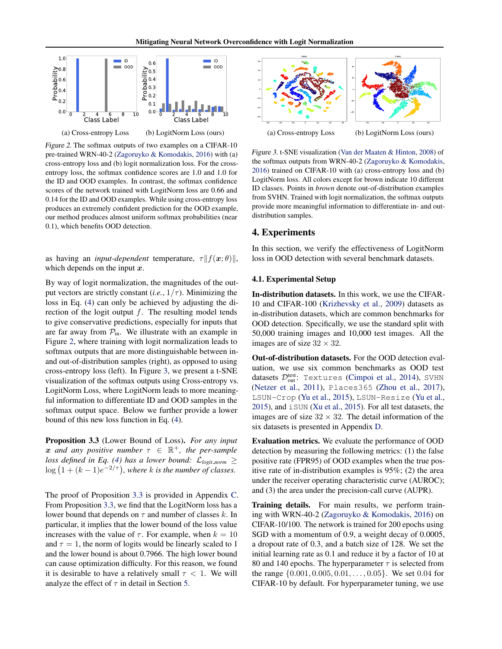<span id="page-3-0"></span>

Figure 2. The softmax outputs of two examples on a CIFAR-10 pre-trained WRN-40-2 [\(Zagoruyko & Komodakis,](#page-10-0) [2016\)](#page-10-0) with (a) cross-entropy loss and (b) logit normalization loss. For the crossentropy loss, the softmax confidence scores are 1.0 and 1.0 for the ID and OOD examples. In contrast, the softmax confidence scores of the network trained with LogitNorm loss are 0.66 and 0.14 for the ID and OOD examples. While using cross-entropy loss produces an extremely confident prediction for the OOD example, our method produces almost uniform softmax probabilities (near 0.1), which benefits OOD detection.

as having an *input-dependent* temperature,  $\tau || f(x; \theta) ||$ , which depends on the input  $x$ .

By way of logit normalization, the magnitudes of the output vectors are strictly constant (*i.e.*,  $1/\tau$ ). Minimizing the loss in Eq. [\(4\)](#page-2-2) can only be achieved by adjusting the direction of the logit output  $f$ . The resulting model tends to give conservative predictions, especially for inputs that are far away from  $P_{in}$ . We illustrate with an example in Figure [2,](#page-3-0) where training with logit normalization leads to softmax outputs that are more distinguishable between inand out-of-distribution samples (right), as opposed to using cross-entropy loss (left). In Figure [3,](#page-3-1) we present a t-SNE visualization of the softmax outputs using Cross-entropy vs. LogitNorm Loss, where LogitNorm leads to more meaningful information to differentiate ID and OOD samples in the softmax output space. Below we further provide a lower bound of this new loss function in Eq. [\(4\)](#page-2-2).

<span id="page-3-2"></span>Proposition 3.3 (Lower Bound of Loss). *For any input*  $x$  and any positive number  $\tau \in \mathbb{R}^+$ , the per-sample *loss defined in Eq.* [\(4\)](#page-2-2) has a lower bound:  $\mathcal{L}_{\text{logit-norm}} \geq$  $\log (1 + (k-1)e^{-2/\tau})$ , where k is the number of classes.

The proof of Proposition [3.3](#page-3-2) is provided in Appendix [C.](#page-11-2) From Proposition [3.3,](#page-3-2) we find that the LogitNorm loss has a lower bound that depends on  $\tau$  and number of classes k. In particular, it implies that the lower bound of the loss value increases with the value of  $\tau$ . For example, when  $k = 10$ and  $\tau = 1$ , the norm of logits would be linearly scaled to 1 and the lower bound is about 0.7966. The high lower bound can cause optimization difficulty. For this reason, we found it is desirable to have a relatively small  $\tau$  < 1. We will analyze the effect of  $\tau$  in detail in Section [5.](#page-6-0)

<span id="page-3-1"></span>

Figure 3. t-SNE visualization [\(Van der Maaten & Hinton,](#page-10-1) [2008\)](#page-10-1) of the softmax outputs from WRN-40-2 [\(Zagoruyko & Komodakis,](#page-10-0) [2016\)](#page-10-0) trained on CIFAR-10 with (a) cross-entropy loss and (b) LogitNorm loss. All colors except for brown indicate 10 different ID classes. Points in *brown* denote out-of-distribution examples from SVHN. Trained with logit normalization, the softmax outputs provide more meaningful information to differentiate in- and outdistribution samples.

### 4. Experiments

In this section, we verify the effectiveness of LogitNorm loss in OOD detection with several benchmark datasets.

#### 4.1. Experimental Setup

In-distribution datasets. In this work, we use the CIFAR-10 and CIFAR-100 [\(Krizhevsky et al.,](#page-8-4) [2009\)](#page-8-4) datasets as in-distribution datasets, which are common benchmarks for OOD detection. Specifically, we use the standard split with 50,000 training images and 10,000 test images. All the images are of size  $32 \times 32$ .

Out-of-distribution datasets. For the OOD detection evaluation, we use six common benchmarks as OOD test datasets  $\mathcal{D}_{\text{out}}^{\text{test}}$ : Textures [\(Cimpoi et al.,](#page-8-5) [2014\)](#page-8-5), SVHN [\(Netzer et al.,](#page-9-7) [2011\)](#page-9-7), Places365 [\(Zhou et al.,](#page-10-2) [2017\)](#page-10-2), LSUN-Crop [\(Yu et al.,](#page-10-3) [2015\)](#page-10-3), LSUN-Resize [\(Yu et al.,](#page-10-3) [2015\)](#page-10-3), and iSUN [\(Xu et al.,](#page-10-4) [2015\)](#page-10-4). For all test datasets, the images are of size  $32 \times 32$ . The detail information of the six datasets is presented in Appendix [D.](#page-12-0)

Evaluation metrics. We evaluate the performance of OOD detection by measuring the following metrics: (1) the false positive rate (FPR95) of OOD examples when the true positive rate of in-distribution examples is 95%; (2) the area under the receiver operating characteristic curve (AUROC); and (3) the area under the precision-call curve (AUPR).

Training details. For main results, we perform training with WRN-40-2 [\(Zagoruyko & Komodakis,](#page-10-0) [2016\)](#page-10-0) on CIFAR-10/100. The network is trained for 200 epochs using SGD with a momentum of 0.9, a weight decay of 0.0005, a dropout rate of 0.3, and a batch size of 128. We set the initial learning rate as 0.1 and reduce it by a factor of 10 at 80 and 140 epochs. The hyperparameter  $\tau$  is selected from the range {0.001, 0.005, 0.01, . . . , 0.05}. We set 0.04 for CIFAR-10 by default. For hyperparameter tuning, we use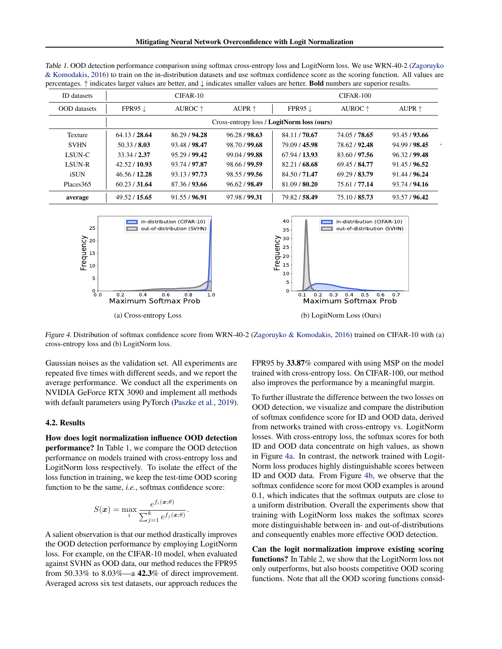| <b>ID</b> datasets    |                    | $CIFAR-10$       |                 |                                            | CIFAR-100        |                 |
|-----------------------|--------------------|------------------|-----------------|--------------------------------------------|------------------|-----------------|
| <b>OOD</b> datasets   | FPR95 $\downarrow$ | AUROC $\uparrow$ | AUPR $\uparrow$ | FPR95 $\downarrow$                         | AUROC $\uparrow$ | AUPR $\uparrow$ |
|                       |                    |                  |                 | Cross-entropy loss / LogitNorm loss (ours) |                  |                 |
| Texture               | 64.13 / 28.64      | 86.29 / 94.28    | 96.28 / 98.63   | 84.11 / 70.67                              | 74.05 / 78.65    | 93.45/93.66     |
| <b>SVHN</b>           | 50.33 / 8.03       | 93.48 / 98.47    | 98.70 / 99.68   | 79.09 / 45.98                              | 78.62 / 92.48    | 94.99 / 98.45   |
| <b>LSUN-C</b>         | 33.34 / 2.37       | 95.29 / 99.42    | 99.04 / 99.88   | 67.94 / 13.93                              | 83.60 / 97.56    | 96.32/99.48     |
| <b>LSUN-R</b>         | 42.52 / 10.93      | 93.74 / 97.87    | 98.66 / 99.59   | 82.21/68.68                                | 69.45 / 84.77    | 91.45 / 96.52   |
| <b>iSUN</b>           | 46.56 / 12.28      | 93.13/97.73      | 98.55 / 99.56   | 84.50 / 71.47                              | 69.29 / 83.79    | 91.44 / 96.24   |
| Places <sub>365</sub> | 60.23 / 31.64      | 87.36 / 93.66    | 96.62 / 98.49   | 81.09 / 80.20                              | 75.61 / 77.14    | 93.74 / 94.16   |
| average               | 49.52 / 15.65      | 91.55/96.91      | 97.98 / 99.31   | 79.82/58.49                                | 75.10 / 85.73    | 93.57 / 96.42   |

<span id="page-4-2"></span>Table 1. OOD detection performance comparison using softmax cross-entropy loss and LogitNorm loss. We use WRN-40-2 [\(Zagoruyko](#page-10-0) [& Komodakis,](#page-10-0) [2016\)](#page-10-0) to train on the in-distribution datasets and use softmax confidence score as the scoring function. All values are percentages. ↑ indicates larger values are better, and ↓ indicates smaller values are better. Bold numbers are superior results.

<span id="page-4-0"></span>

Figure 4. Distribution of softmax confidence score from WRN-40-2 [\(Zagoruyko & Komodakis,](#page-10-0) [2016\)](#page-10-0) trained on CIFAR-10 with (a) cross-entropy loss and (b) LogitNorm loss.

Gaussian noises as the validation set. All experiments are repeated five times with different seeds, and we report the average performance. We conduct all the experiments on NVIDIA GeForce RTX 3090 and implement all methods with default parameters using PyTorch [\(Paszke et al.,](#page-9-8) [2019\)](#page-9-8).

#### <span id="page-4-1"></span>4.2. Results

How does logit normalization influence OOD detection performance? In Table [1,](#page-4-2) we compare the OOD detection performance on models trained with cross-entropy loss and LogitNorm loss respectively. To isolate the effect of the loss function in training, we keep the test-time OOD scoring function to be the same, *i.e.*, softmax confidence score:

$$
S(\boldsymbol{x}) = \max_{i} \frac{e^{f_i(\boldsymbol{x};\boldsymbol{\theta})}}{\sum_{j=1}^{k} e^{f_j(\boldsymbol{x};\boldsymbol{\theta})}}.
$$

A salient observation is that our method drastically improves the OOD detection performance by employing LogitNorm loss. For example, on the CIFAR-10 model, when evaluated against SVHN as OOD data, our method reduces the FPR95 from 50.33% to 8.03%—a 42.3% of direct improvement. Averaged across six test datasets, our approach reduces the

FPR95 by 33.87% compared with using MSP on the model trained with cross-entropy loss. On CIFAR-100, our method also improves the performance by a meaningful margin.

To further illustrate the difference between the two losses on OOD detection, we visualize and compare the distribution of softmax confidence score for ID and OOD data, derived from networks trained with cross-entropy vs. LogitNorm losses. With cross-entropy loss, the softmax scores for both ID and OOD data concentrate on high values, as shown in Figure [4a.](#page-4-0) In contrast, the network trained with Logit-Norm loss produces highly distinguishable scores between ID and OOD data. From Figure [4b,](#page-4-0) we observe that the softmax confidence score for most OOD examples is around 0.1, which indicates that the softmax outputs are close to a uniform distribution. Overall the experiments show that training with LogitNorm loss makes the softmax scores more distinguishable between in- and out-of-distributions and consequently enables more effective OOD detection.

Can the logit normalization improve existing scoring functions? In Table [2,](#page-5-0) we show that the LogitNorm loss not only outperforms, but also boosts competitive OOD scoring functions. Note that all the OOD scoring functions consid-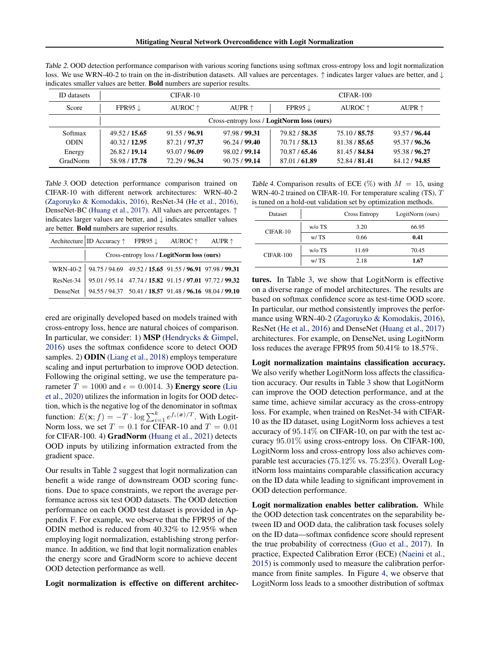| <b>ID</b> datasets |               | $CIFAR-10$       |                 |                                                   | $CIFAR-100$      |                 |
|--------------------|---------------|------------------|-----------------|---------------------------------------------------|------------------|-----------------|
| Score              | $FPR95 \perp$ | AUROC $\uparrow$ | AUPR $\uparrow$ | FPR95 $\downarrow$                                | AUROC $\uparrow$ | AUPR $\uparrow$ |
|                    |               |                  |                 | Cross-entropy loss / <b>LogitNorm loss (ours)</b> |                  |                 |
| Softmax            | 49.52 / 15.65 | 91.55 / 96.91    | 97.98 / 99.31   | 79.82/58.35                                       | 75.10 / 85.75    | 93.57 / 96.44   |
| <b>ODIN</b>        | 40.32/12.95   | 87.21 / 97.37    | 96.24/99.40     | 70.71 / 58.13                                     | 81.38 / 85.65    | 95.37 / 96.36   |
| Energy             | 26.82/19.14   | 93.07 / 96.09    | 98.02 / 99.14   | 70.87 / 65.46                                     | 81.45 / 84.84    | 95.38 / 96.27   |
| GradNorm           | 58.98 / 17.78 | 72.29 / 96.34    | 90.75/99.14     | 87.01/61.89                                       | 52.84 / 81.41    | 84.12/94.85     |

<span id="page-5-0"></span>Table 2. OOD detection performance comparison with various scoring functions using softmax cross-entropy loss and logit normalization loss. We use WRN-40-2 to train on the in-distribution datasets. All values are percentages. ↑ indicates larger values are better, and ↓ indicates smaller values are better. Bold numbers are superior results.

<span id="page-5-1"></span>Table 3. OOD detection performance comparison trained on CIFAR-10 with different network architectures: WRN-40-2 [\(Zagoruyko & Komodakis,](#page-10-0) [2016\)](#page-10-0), ResNet-34 [\(He et al.,](#page-8-6) [2016\)](#page-8-6), DenseNet-BC [\(Huang et al.,](#page-8-7) [2017\)](#page-8-7). All values are percentages. ↑ indicates larger values are better, and  $\downarrow$  indicates smaller values are better. Bold numbers are superior results.

| Architecture ID Accuracy $\uparrow$ FPR95 $\downarrow$ AUROC $\uparrow$ AUPR $\uparrow$ |                                            |  |
|-----------------------------------------------------------------------------------------|--------------------------------------------|--|
|                                                                                         | Cross-entropy loss / LogitNorm loss (ours) |  |
| WRN-40-2 94.75 / 94.69 49.52 / 15.65 91.55 / 96.91 97.98 / 99.31                        |                                            |  |
| ResNet-34 95.01 / 95.14 47.74 / 15.82 91.15 / 97.01 97.72 / 99.32                       |                                            |  |
| DenseNet 94.55 / 94.37 50.41 / 18.57 91.48 / 96.16 98.04 / 99.10                        |                                            |  |

ered are originally developed based on models trained with cross-entropy loss, hence are natural choices of comparison. In particular, we consider: 1) MSP [\(Hendrycks & Gimpel,](#page-8-0) [2016\)](#page-8-0) uses the softmax confidence score to detect OOD samples. 2) **ODIN** [\(Liang et al.,](#page-9-1) [2018\)](#page-9-1) employs temperature scaling and input perturbation to improve OOD detection. Following the original setting, we use the temperature parameter  $T = 1000$  and  $\epsilon = 0.0014$ . 3) **Energy score** [\(Liu](#page-9-3) [et al.,](#page-9-3) [2020\)](#page-9-3) utilizes the information in logits for OOD detection, which is the negative log of the denominator in softmax function:  $E(\mathbf{x}; f) = -T \cdot \log \sum_{i=1}^{k} e^{f_i(\mathbf{x})/T}$ . With Logit-Norm loss, we set  $T = 0.1$  for CIFAR-10 and  $T = 0.01$ for CIFAR-100. 4) GradNorm [\(Huang et al.,](#page-8-1) [2021\)](#page-8-1) detects OOD inputs by utilizing information extracted from the gradient space.

Our results in Table [2](#page-5-0) suggest that logit normalization can benefit a wide range of downstream OOD scoring functions. Due to space constraints, we report the average performance across six test OOD datasets. The OOD detection performance on each OOD test dataset is provided in Appendix [F.](#page-12-1) For example, we observe that the FPR95 of the ODIN method is reduced from 40.32% to 12.95% when employing logit normalization, establishing strong performance. In addition, we find that logit normalization enables the energy score and GradNorm score to achieve decent OOD detection performance as well.

Logit normalization is effective on different architec-

<span id="page-5-2"></span>Table 4. Comparison results of ECE  $(\%)$  with  $M = 15$ , using WRN-40-2 trained on CIFAR-10. For temperature scaling (TS), T is tuned on a hold-out validation set by optimization methods.

| Dataset     |          | <b>Cross Entropy</b> | LogitNorm (ours) |
|-------------|----------|----------------------|------------------|
| CIFAR-10    | $w/o$ TS | 3.20                 | 66.95            |
|             | w/TS     | 0.66                 | 0.41             |
| $CIFAR-100$ | $w/o$ TS | 11.69                | 70.45            |
|             | w/TS     | 2.18                 | 1.67             |

tures. In Table [3,](#page-5-1) we show that LogitNorm is effective on a diverse range of model architectures. The results are based on softmax confidence score as test-time OOD score. In particular, our method consistently improves the performance using WRN-40-2 [\(Zagoruyko & Komodakis,](#page-10-0) [2016\)](#page-10-0), ResNet [\(He et al.,](#page-8-6) [2016\)](#page-8-6) and DenseNet [\(Huang et al.,](#page-8-7) [2017\)](#page-8-7) architectures. For example, on DenseNet, using LogitNorm loss reduces the average FPR95 from 50.41% to 18.57%.

Logit normalization maintains classification accuracy. We also verify whether LogitNorm loss affects the classification accuracy. Our results in Table [3](#page-5-1) show that LogitNorm can improve the OOD detection performance, and at the same time, achieve similar accuracy as the cross-entropy loss. For example, when trained on ResNet-34 with CIFAR-10 as the ID dataset, using LogitNorm loss achieves a test accuracy of 95.14% on CIFAR-10, on par with the test accuracy 95.01% using cross-entropy loss. On CIFAR-100, LogitNorm loss and cross-entropy loss also achieves comparable test accuracies (75.12% vs. 75.23%). Overall LogitNorm loss maintains comparable classification accuracy on the ID data while leading to significant improvement in OOD detection performance.

Logit normalization enables better calibration. While the OOD detection task concentrates on the separability between ID and OOD data, the calibration task focuses solely on the ID data—softmax confidence score should represent the true probability of correctness [\(Guo et al.,](#page-8-8) [2017\)](#page-8-8). In practice, Expected Calibration Error (ECE) [\(Naeini et al.,](#page-9-9) [2015\)](#page-9-9) is commonly used to measure the calibration performance from finite samples. In Figure [4,](#page-4-0) we observe that LogitNorm loss leads to a smoother distribution of softmax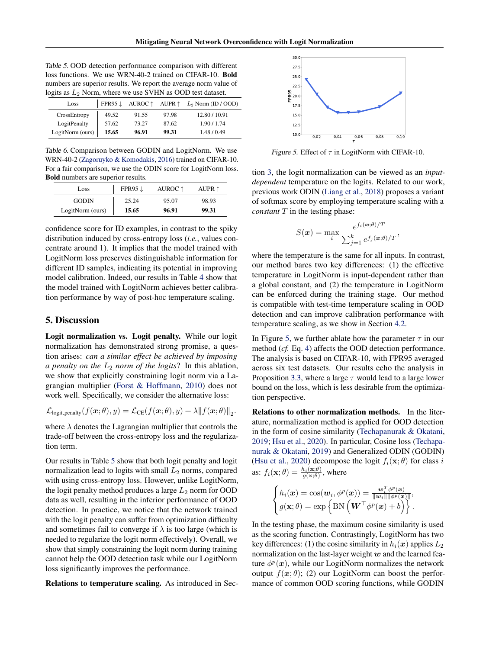<span id="page-6-1"></span>

| Table 5. OOD detection performance comparison with different      |
|-------------------------------------------------------------------|
| loss functions. We use WRN-40-2 trained on CIFAR-10. <b>Bold</b>  |
| numbers are superior results. We report the average norm value of |
| logits as $L_2$ Norm, where we use SVHN as OOD test dataset.      |

| Loss             |       |       |       | FPR95 $\downarrow$ AUROC $\uparrow$ AUPR $\uparrow$ $L_2$ Norm (ID / OOD) |
|------------------|-------|-------|-------|---------------------------------------------------------------------------|
| CrossEntropy     | 49.52 | 91.55 | 97.98 | 12.80 / 10.91                                                             |
| LogitPenalty     | 57.62 | 73.27 | 87.62 | 1.90 / 1.74                                                               |
| LogitNorm (ours) | 15.65 | 96.91 | 99.31 | 1.48/0.49                                                                 |

Table 6. Comparison between GODIN and LogitNorm. We use WRN-40-2 [\(Zagoruyko & Komodakis,](#page-10-0) [2016\)](#page-10-0) trained on CIFAR-10. For a fair comparison, we use the ODIN score for LogitNorm loss. Bold numbers are superior results.

| Loss             | FPR95 $\downarrow$ | AUROC ↑ | AUPR $\uparrow$ |
|------------------|--------------------|---------|-----------------|
| <b>GODIN</b>     | 25.24              | 95.07   | 98.93           |
| LogitNorm (ours) | 15.65              | 96.91   | 99.31           |

confidence score for ID examples, in contrast to the spiky distribution induced by cross-entropy loss (*i.e.*, values concentrate around 1). It implies that the model trained with LogitNorm loss preserves distinguishable information for different ID samples, indicating its potential in improving model calibration. Indeed, our results in Table [4](#page-5-2) show that the model trained with LogitNorm achieves better calibration performance by way of post-hoc temperature scaling.

### <span id="page-6-0"></span>5. Discussion

Logit normalization vs. Logit penalty. While our logit normalization has demonstrated strong promise, a question arises: *can a similar effect be achieved by imposing a penalty on the*  $L_2$  *norm of the logits*? In this ablation, we show that explicitly constraining logit norm via a Lagrangian multiplier [\(Forst & Hoffmann,](#page-8-3) [2010\)](#page-8-3) does not work well. Specifically, we consider the alternative loss:

$$
\mathcal{L}_{\text{logit-penalty}}(f(\boldsymbol{x};\theta),y) = \mathcal{L}_{\text{CE}}(f(\boldsymbol{x};\theta),y) + \lambda \|f(\boldsymbol{x};\theta)\|_2.
$$

where  $\lambda$  denotes the Lagrangian multiplier that controls the trade-off between the cross-entropy loss and the regularization term.

<span id="page-6-3"></span>Our results in Table [5](#page-6-1) show that both logit penalty and logit normalization lead to logits with small  $L_2$  norms, compared with using cross-entropy loss. However, unlike LogitNorm, the logit penalty method produces a large  $L_2$  norm for OOD data as well, resulting in the inferior performance of OOD detection. In practice, we notice that the network trained with the logit penalty can suffer from optimization difficulty and sometimes fail to converge if  $\lambda$  is too large (which is needed to regularize the logit norm effectively). Overall, we show that simply constraining the logit norm during training cannot help the OOD detection task while our LogitNorm loss significantly improves the performance. **Excelsion to the scaling of the scaling of the scaling of the scaling of the scaling of the scaling of the scaling of the scaling of the scaling of the scaling of the scaling of the scaling of the scaling of the scaling** 

<span id="page-6-2"></span>

Figure 5. Effect of  $\tau$  in LogitNorm with CIFAR-10.

tion [3,](#page-1-1) the logit normalization can be viewed as an *inputdependent* temperature on the logits. Related to our work, previous work ODIN [\(Liang et al.,](#page-9-1) [2018\)](#page-9-1) proposes a variant of softmax score by employing temperature scaling with a *constant* T in the testing phase:

$$
S(\boldsymbol{x}) = \max_i \frac{e^{f_i(\boldsymbol{x};\theta)/T}}{\sum_{j=1}^k e^{f_j(\boldsymbol{x};\theta)/T}},
$$

where the temperature is the same for all inputs. In contrast, our method bares two key differences: (1) the effective temperature in LogitNorm is input-dependent rather than a global constant, and (2) the temperature in LogitNorm can be enforced during the training stage. Our method is compatible with test-time temperature scaling in OOD detection and can improve calibration performance with temperature scaling, as we show in Section [4.2.](#page-4-1)

In Figure [5,](#page-6-2) we further ablate how the parameter  $\tau$  in our method (*cf.* Eq. [4\)](#page-2-2) affects the OOD detection performance. The analysis is based on CIFAR-10, with FPR95 averaged across six test datasets. Our results echo the analysis in Proposition [3.3,](#page-3-2) where a large  $\tau$  would lead to a large lower bound on the loss, which is less desirable from the optimization perspective.

Relations to other normalization methods. In the literature, normalization method is applied for OOD detection in the form of cosine similarity [\(Techapanurak & Okatani,](#page-10-5) [2019;](#page-10-5) [Hsu et al.,](#page-8-2) [2020\)](#page-8-2). In particular, Cosine loss [\(Techapa](#page-10-5)[nurak & Okatani,](#page-10-5) [2019\)](#page-10-5) and Generalized ODIN (GODIN) [\(Hsu et al.,](#page-8-2) [2020\)](#page-8-2) decompose the logit  $f_i(\mathbf{x}; \theta)$  for class i as:  $f_i(\mathbf{x}; \theta) = \frac{h_i(\mathbf{x}; \theta)}{g(\mathbf{x}; \theta)}$ , where

$$
\begin{cases} h_i(\boldsymbol{x}) = \cos(\boldsymbol{w}_i, \phi^p(\boldsymbol{x})) = \frac{\boldsymbol{w}_i^{\mathrm{T}} \phi^p(\boldsymbol{x})}{\|\boldsymbol{w}_i\| \|\phi^p(\boldsymbol{x})\|}, \\ g(\mathbf{x}; \theta) = \exp\left\{\mathrm{BN}\left(\boldsymbol{W}^{\mathrm{T}} \phi^p(\boldsymbol{x}) + b\right)\right\}. \end{cases}
$$

In the testing phase, the maximum cosine similarity is used as the scoring function. Contrastingly, LogitNorm has two key differences: (1) the cosine similarity in  $h_i(x)$  applies  $L_2$ normalization on the last-layer weight  $w$  and the learned feature  $\phi^p(x)$ , while our LogitNorm normalizes the network output  $f(x; \theta)$ ; (2) our LogitNorm can boost the performance of common OOD scoring functions, while GODIN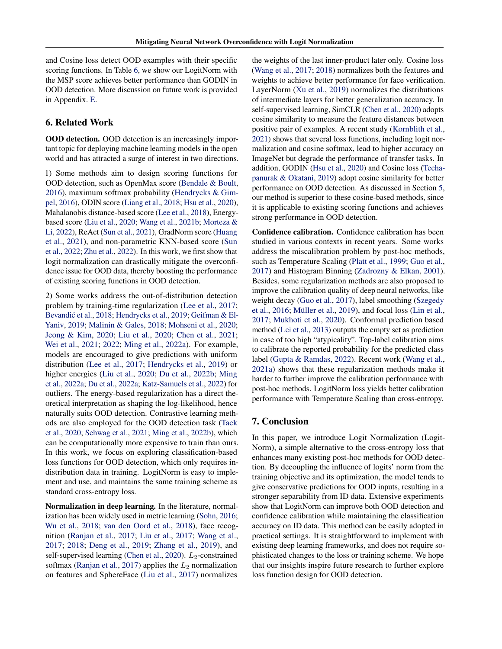and Cosine loss detect OOD examples with their specific scoring functions. In Table [6,](#page-6-3) we show our LogitNorm with the MSP score achieves better performance than GODIN in OOD detection. More discussion on future work is provided in Appendix. [E.](#page-12-2)

### 6. Related Work

OOD detection. OOD detection is an increasingly important topic for deploying machine learning models in the open world and has attracted a surge of interest in two directions.

1) Some methods aim to design scoring functions for OOD detection, such as OpenMax score [\(Bendale & Boult,](#page-8-9) [2016\)](#page-8-9), maximum softmax probability [\(Hendrycks & Gim](#page-8-0)[pel,](#page-8-0) [2016\)](#page-8-0), ODIN score [\(Liang et al.,](#page-9-1) [2018;](#page-9-1) [Hsu et al.,](#page-8-2) [2020\)](#page-8-2), Mahalanobis distance-based score [\(Lee et al.,](#page-9-2) [2018\)](#page-9-2), Energybased score [\(Liu et al.,](#page-9-3) [2020;](#page-9-3) [Wang et al.,](#page-10-6) [2021b;](#page-10-6) [Morteza &](#page-9-10) [Li,](#page-9-10) [2022\)](#page-9-10), ReAct [\(Sun et al.,](#page-9-5) [2021\)](#page-9-5), GradNorm score [\(Huang](#page-8-1) [et al.,](#page-8-1) [2021\)](#page-8-1), and non-parametric KNN-based score [\(Sun](#page-9-6) [et al.,](#page-9-6) [2022;](#page-9-6) [Zhu et al.,](#page-10-7) [2022\)](#page-10-7). In this work, we first show that logit normalization can drastically mitigate the overconfidence issue for OOD data, thereby boosting the performance of existing scoring functions in OOD detection.

2) Some works address the out-of-distribution detection problem by training-time regularization [\(Lee et al.,](#page-8-10) [2017;](#page-8-10) Bevandić et al., [2018;](#page-8-11) [Hendrycks et al.,](#page-8-12) [2019;](#page-8-12) [Geifman & El-](#page-8-13)[Yaniv,](#page-8-13) [2019;](#page-8-13) [Malinin & Gales,](#page-9-11) [2018;](#page-9-11) [Mohseni et al.,](#page-9-12) [2020;](#page-9-12) [Jeong & Kim,](#page-8-14) [2020;](#page-8-14) [Liu et al.,](#page-9-3) [2020;](#page-9-3) [Chen et al.,](#page-8-15) [2021;](#page-8-15) [Wei et al.,](#page-10-8) [2021;](#page-10-8) [2022;](#page-10-9) [Ming et al.,](#page-9-13) [2022a\)](#page-9-13). For example, models are encouraged to give predictions with uniform distribution [\(Lee et al.,](#page-8-10) [2017;](#page-8-10) [Hendrycks et al.,](#page-8-12) [2019\)](#page-8-12) or higher energies [\(Liu et al.,](#page-9-3) [2020;](#page-9-3) [Du et al.,](#page-8-16) [2022b;](#page-8-16) [Ming](#page-9-13) [et al.,](#page-9-13) [2022a;](#page-9-13) [Du et al.,](#page-8-17) [2022a;](#page-8-17) [Katz-Samuels et al.,](#page-8-18) [2022\)](#page-8-18) for outliers. The energy-based regularization has a direct theoretical interpretation as shaping the log-likelihood, hence naturally suits OOD detection. Contrastive learning methods are also employed for the OOD detection task [\(Tack](#page-10-10) [et al.,](#page-10-10) [2020;](#page-10-10) [Sehwag et al.,](#page-9-14) [2021;](#page-9-14) [Ming et al.,](#page-9-15) [2022b\)](#page-9-15), which can be computationally more expensive to train than ours. In this work, we focus on exploring classification-based loss functions for OOD detection, which only requires indistribution data in training. LogitNorm is easy to implement and use, and maintains the same training scheme as standard cross-entropy loss.

Normalization in deep learning. In the literature, normalization has been widely used in metric learning [\(Sohn,](#page-9-16) [2016;](#page-9-16) [Wu et al.,](#page-10-11) [2018;](#page-10-11) [van den Oord et al.,](#page-10-12) [2018\)](#page-10-12), face recognition [\(Ranjan et al.,](#page-9-17) [2017;](#page-9-17) [Liu et al.,](#page-9-18) [2017;](#page-9-18) [Wang et al.,](#page-10-13) [2017;](#page-10-13) [2018;](#page-10-14) [Deng et al.,](#page-8-19) [2019;](#page-8-19) [Zhang et al.,](#page-10-15) [2019\)](#page-10-15), and self-supervised learning [\(Chen et al.,](#page-8-20) [2020\)](#page-8-20).  $L_2$ -constrained softmax [\(Ranjan et al.,](#page-9-17) [2017\)](#page-9-17) applies the  $L_2$  normalization on features and SphereFace [\(Liu et al.,](#page-9-18) [2017\)](#page-9-18) normalizes

the weights of the last inner-product later only. Cosine loss [\(Wang et al.,](#page-10-13) [2017;](#page-10-13) [2018\)](#page-10-14) normalizes both the features and weights to achieve better performance for face verification. LayerNorm [\(Xu et al.,](#page-10-16) [2019\)](#page-10-16) normalizes the distributions of intermediate layers for better generalization accuracy. In self-supervised learning, SimCLR [\(Chen et al.,](#page-8-20) [2020\)](#page-8-20) adopts cosine similarity to measure the feature distances between positive pair of examples. A recent study [\(Kornblith et al.,](#page-8-21) [2021\)](#page-8-21) shows that several loss functions, including logit normalization and cosine softmax, lead to higher accuracy on ImageNet but degrade the performance of transfer tasks. In addition, GODIN [\(Hsu et al.,](#page-8-2) [2020\)](#page-8-2) and Cosine loss [\(Techa](#page-10-5)[panurak & Okatani,](#page-10-5) [2019\)](#page-10-5) adopt cosine similarity for better performance on OOD detection. As discussed in Section [5,](#page-6-0) our method is superior to these cosine-based methods, since it is applicable to existing scoring functions and achieves strong performance in OOD detection.

Confidence calibration. Confidence calibration has been studied in various contexts in recent years. Some works address the miscalibration problem by post-hoc methods, such as Temperature Scaling [\(Platt et al.,](#page-9-19) [1999;](#page-9-19) [Guo et al.,](#page-8-8) [2017\)](#page-8-8) and Histogram Binning [\(Zadrozny & Elkan,](#page-10-17) [2001\)](#page-10-17). Besides, some regularization methods are also proposed to improve the calibration quality of deep neural networks, like weight decay [\(Guo et al.,](#page-8-8) [2017\)](#page-8-8), label smoothing [\(Szegedy](#page-9-20) [et al.,](#page-9-20) [2016;](#page-9-20) Müller et al., [2019\)](#page-9-21), and focal loss [\(Lin et al.,](#page-9-22) [2017;](#page-9-22) [Mukhoti et al.,](#page-9-23) [2020\)](#page-9-23). Conformal prediction based method [\(Lei et al.,](#page-9-24) [2013\)](#page-9-24) outputs the empty set as prediction in case of too high "atypicality". Top-label calibration aims to calibrate the reported probability for the predicted class label [\(Gupta & Ramdas,](#page-8-22) [2022\)](#page-8-22). Recent work [\(Wang et al.,](#page-10-18) [2021a\)](#page-10-18) shows that these regularization methods make it harder to further improve the calibration performance with post-hoc methods. LogitNorm loss yields better calibration performance with Temperature Scaling than cross-entropy.

#### 7. Conclusion

In this paper, we introduce Logit Normalization (Logit-Norm), a simple alternative to the cross-entropy loss that enhances many existing post-hoc methods for OOD detection. By decoupling the influence of logits' norm from the training objective and its optimization, the model tends to give conservative predictions for OOD inputs, resulting in a stronger separability from ID data. Extensive experiments show that LogitNorm can improve both OOD detection and confidence calibration while maintaining the classification accuracy on ID data. This method can be easily adopted in practical settings. It is straightforward to implement with existing deep learning frameworks, and does not require sophisticated changes to the loss or training scheme. We hope that our insights inspire future research to further explore loss function design for OOD detection.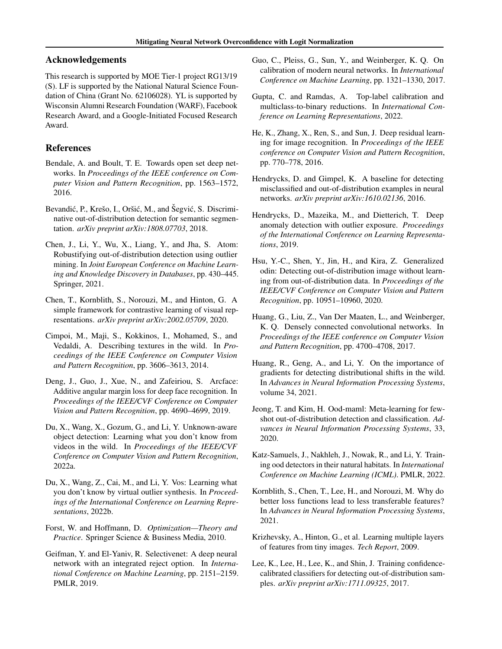## Acknowledgements

This research is supported by MOE Tier-1 project RG13/19 (S). LF is supported by the National Natural Science Foundation of China (Grant No. 62106028). YL is supported by Wisconsin Alumni Research Foundation (WARF), Facebook Research Award, and a Google-Initiated Focused Research Award.

## References

- <span id="page-8-9"></span>Bendale, A. and Boult, T. E. Towards open set deep networks. In *Proceedings of the IEEE conference on Computer Vision and Pattern Recognition*, pp. 1563–1572, 2016.
- <span id="page-8-11"></span>Bevandić, P., Krešo, I., Oršić, M., and Šegvić, S. Discriminative out-of-distribution detection for semantic segmentation. *arXiv preprint arXiv:1808.07703*, 2018.
- <span id="page-8-15"></span>Chen, J., Li, Y., Wu, X., Liang, Y., and Jha, S. Atom: Robustifying out-of-distribution detection using outlier mining. In *Joint European Conference on Machine Learning and Knowledge Discovery in Databases*, pp. 430–445. Springer, 2021.
- <span id="page-8-20"></span>Chen, T., Kornblith, S., Norouzi, M., and Hinton, G. A simple framework for contrastive learning of visual representations. *arXiv preprint arXiv:2002.05709*, 2020.
- <span id="page-8-5"></span>Cimpoi, M., Maji, S., Kokkinos, I., Mohamed, S., and Vedaldi, A. Describing textures in the wild. In *Proceedings of the IEEE Conference on Computer Vision and Pattern Recognition*, pp. 3606–3613, 2014.
- <span id="page-8-19"></span>Deng, J., Guo, J., Xue, N., and Zafeiriou, S. Arcface: Additive angular margin loss for deep face recognition. In *Proceedings of the IEEE/CVF Conference on Computer Vision and Pattern Recognition*, pp. 4690–4699, 2019.
- <span id="page-8-17"></span>Du, X., Wang, X., Gozum, G., and Li, Y. Unknown-aware object detection: Learning what you don't know from videos in the wild. In *Proceedings of the IEEE/CVF Conference on Computer Vision and Pattern Recognition*, 2022a.
- <span id="page-8-16"></span>Du, X., Wang, Z., Cai, M., and Li, Y. Vos: Learning what you don't know by virtual outlier synthesis. In *Proceedings of the International Conference on Learning Representations*, 2022b.
- <span id="page-8-3"></span>Forst, W. and Hoffmann, D. *Optimization—Theory and Practice*. Springer Science & Business Media, 2010.
- <span id="page-8-13"></span>Geifman, Y. and El-Yaniv, R. Selectivenet: A deep neural network with an integrated reject option. In *International Conference on Machine Learning*, pp. 2151–2159. PMLR, 2019.
- <span id="page-8-8"></span>Guo, C., Pleiss, G., Sun, Y., and Weinberger, K. Q. On calibration of modern neural networks. In *International Conference on Machine Learning*, pp. 1321–1330, 2017.
- <span id="page-8-22"></span>Gupta, C. and Ramdas, A. Top-label calibration and multiclass-to-binary reductions. In *International Conference on Learning Representations*, 2022.
- <span id="page-8-6"></span>He, K., Zhang, X., Ren, S., and Sun, J. Deep residual learning for image recognition. In *Proceedings of the IEEE conference on Computer Vision and Pattern Recognition*, pp. 770–778, 2016.
- <span id="page-8-0"></span>Hendrycks, D. and Gimpel, K. A baseline for detecting misclassified and out-of-distribution examples in neural networks. *arXiv preprint arXiv:1610.02136*, 2016.
- <span id="page-8-12"></span>Hendrycks, D., Mazeika, M., and Dietterich, T. Deep anomaly detection with outlier exposure. *Proceedings of the International Conference on Learning Representations*, 2019.
- <span id="page-8-2"></span>Hsu, Y.-C., Shen, Y., Jin, H., and Kira, Z. Generalized odin: Detecting out-of-distribution image without learning from out-of-distribution data. In *Proceedings of the IEEE/CVF Conference on Computer Vision and Pattern Recognition*, pp. 10951–10960, 2020.
- <span id="page-8-7"></span>Huang, G., Liu, Z., Van Der Maaten, L., and Weinberger, K. Q. Densely connected convolutional networks. In *Proceedings of the IEEE conference on Computer Vision and Pattern Recognition*, pp. 4700–4708, 2017.
- <span id="page-8-1"></span>Huang, R., Geng, A., and Li, Y. On the importance of gradients for detecting distributional shifts in the wild. In *Advances in Neural Information Processing Systems*, volume 34, 2021.
- <span id="page-8-14"></span>Jeong, T. and Kim, H. Ood-maml: Meta-learning for fewshot out-of-distribution detection and classification. *Advances in Neural Information Processing Systems*, 33, 2020.
- <span id="page-8-18"></span>Katz-Samuels, J., Nakhleh, J., Nowak, R., and Li, Y. Training ood detectors in their natural habitats. In *International Conference on Machine Learning (ICML)*. PMLR, 2022.
- <span id="page-8-21"></span>Kornblith, S., Chen, T., Lee, H., and Norouzi, M. Why do better loss functions lead to less transferable features? In *Advances in Neural Information Processing Systems*, 2021.
- <span id="page-8-4"></span>Krizhevsky, A., Hinton, G., et al. Learning multiple layers of features from tiny images. *Tech Report*, 2009.
- <span id="page-8-10"></span>Lee, K., Lee, H., Lee, K., and Shin, J. Training confidencecalibrated classifiers for detecting out-of-distribution samples. *arXiv preprint arXiv:1711.09325*, 2017.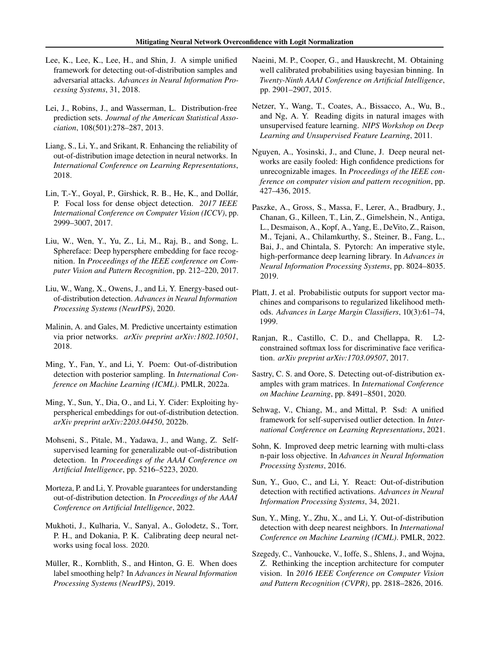- <span id="page-9-2"></span>Lee, K., Lee, K., Lee, H., and Shin, J. A simple unified framework for detecting out-of-distribution samples and adversarial attacks. *Advances in Neural Information Processing Systems*, 31, 2018.
- <span id="page-9-24"></span>Lei, J., Robins, J., and Wasserman, L. Distribution-free prediction sets. *Journal of the American Statistical Association*, 108(501):278–287, 2013.
- <span id="page-9-1"></span>Liang, S., Li, Y., and Srikant, R. Enhancing the reliability of out-of-distribution image detection in neural networks. In *International Conference on Learning Representations*, 2018.
- <span id="page-9-22"></span>Lin, T.-Y., Goyal, P., Girshick, R. B., He, K., and Dollár, P. Focal loss for dense object detection. *2017 IEEE International Conference on Computer Vision (ICCV)*, pp. 2999–3007, 2017.
- <span id="page-9-18"></span>Liu, W., Wen, Y., Yu, Z., Li, M., Raj, B., and Song, L. Sphereface: Deep hypersphere embedding for face recognition. In *Proceedings of the IEEE conference on Computer Vision and Pattern Recognition*, pp. 212–220, 2017.
- <span id="page-9-3"></span>Liu, W., Wang, X., Owens, J., and Li, Y. Energy-based outof-distribution detection. *Advances in Neural Information Processing Systems (NeurIPS)*, 2020.
- <span id="page-9-11"></span>Malinin, A. and Gales, M. Predictive uncertainty estimation via prior networks. *arXiv preprint arXiv:1802.10501*, 2018.
- <span id="page-9-13"></span>Ming, Y., Fan, Y., and Li, Y. Poem: Out-of-distribution detection with posterior sampling. In *International Conference on Machine Learning (ICML)*. PMLR, 2022a.
- <span id="page-9-15"></span>Ming, Y., Sun, Y., Dia, O., and Li, Y. Cider: Exploiting hyperspherical embeddings for out-of-distribution detection. *arXiv preprint arXiv:2203.04450*, 2022b.
- <span id="page-9-12"></span>Mohseni, S., Pitale, M., Yadawa, J., and Wang, Z. Selfsupervised learning for generalizable out-of-distribution detection. In *Proceedings of the AAAI Conference on Artificial Intelligence*, pp. 5216–5223, 2020.
- <span id="page-9-10"></span>Morteza, P. and Li, Y. Provable guarantees for understanding out-of-distribution detection. In *Proceedings of the AAAI Conference on Artificial Intelligence*, 2022.
- <span id="page-9-23"></span>Mukhoti, J., Kulharia, V., Sanyal, A., Golodetz, S., Torr, P. H., and Dokania, P. K. Calibrating deep neural networks using focal loss. 2020.
- <span id="page-9-21"></span>Müller, R., Kornblith, S., and Hinton, G. E. When does label smoothing help? In *Advances in Neural Information Processing Systems (NeurIPS)*, 2019.
- <span id="page-9-9"></span>Naeini, M. P., Cooper, G., and Hauskrecht, M. Obtaining well calibrated probabilities using bayesian binning. In *Twenty-Ninth AAAI Conference on Artificial Intelligence*, pp. 2901–2907, 2015.
- <span id="page-9-7"></span>Netzer, Y., Wang, T., Coates, A., Bissacco, A., Wu, B., and Ng, A. Y. Reading digits in natural images with unsupervised feature learning. *NIPS Workshop on Deep Learning and Unsupervised Feature Learning*, 2011.
- <span id="page-9-0"></span>Nguyen, A., Yosinski, J., and Clune, J. Deep neural networks are easily fooled: High confidence predictions for unrecognizable images. In *Proceedings of the IEEE conference on computer vision and pattern recognition*, pp. 427–436, 2015.
- <span id="page-9-8"></span>Paszke, A., Gross, S., Massa, F., Lerer, A., Bradbury, J., Chanan, G., Killeen, T., Lin, Z., Gimelshein, N., Antiga, L., Desmaison, A., Kopf, A., Yang, E., DeVito, Z., Raison, M., Tejani, A., Chilamkurthy, S., Steiner, B., Fang, L., Bai, J., and Chintala, S. Pytorch: An imperative style, high-performance deep learning library. In *Advances in Neural Information Processing Systems*, pp. 8024–8035. 2019.
- <span id="page-9-19"></span>Platt, J. et al. Probabilistic outputs for support vector machines and comparisons to regularized likelihood methods. *Advances in Large Margin Classifiers*, 10(3):61–74, 1999.
- <span id="page-9-17"></span>Ranjan, R., Castillo, C. D., and Chellappa, R. L2 constrained softmax loss for discriminative face verification. *arXiv preprint arXiv:1703.09507*, 2017.
- <span id="page-9-4"></span>Sastry, C. S. and Oore, S. Detecting out-of-distribution examples with gram matrices. In *International Conference on Machine Learning*, pp. 8491–8501, 2020.
- <span id="page-9-14"></span>Sehwag, V., Chiang, M., and Mittal, P. Ssd: A unified framework for self-supervised outlier detection. In *International Conference on Learning Representations*, 2021.
- <span id="page-9-16"></span>Sohn, K. Improved deep metric learning with multi-class n-pair loss objective. In *Advances in Neural Information Processing Systems*, 2016.
- <span id="page-9-5"></span>Sun, Y., Guo, C., and Li, Y. React: Out-of-distribution detection with rectified activations. *Advances in Neural Information Processing Systems*, 34, 2021.
- <span id="page-9-6"></span>Sun, Y., Ming, Y., Zhu, X., and Li, Y. Out-of-distribution detection with deep nearest neighbors. In *International Conference on Machine Learning (ICML)*. PMLR, 2022.
- <span id="page-9-20"></span>Szegedy, C., Vanhoucke, V., Ioffe, S., Shlens, J., and Wojna, Z. Rethinking the inception architecture for computer vision. In *2016 IEEE Conference on Computer Vision and Pattern Recognition (CVPR)*, pp. 2818–2826, 2016.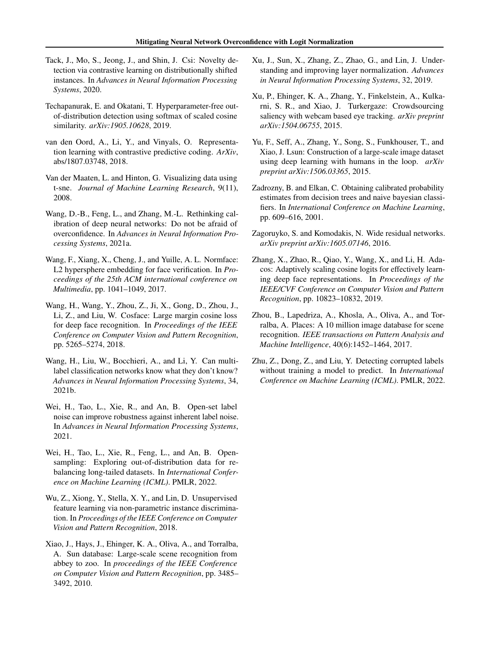- <span id="page-10-10"></span>Tack, J., Mo, S., Jeong, J., and Shin, J. Csi: Novelty detection via contrastive learning on distributionally shifted instances. In *Advances in Neural Information Processing Systems*, 2020.
- <span id="page-10-5"></span>Techapanurak, E. and Okatani, T. Hyperparameter-free outof-distribution detection using softmax of scaled cosine similarity. *arXiv:1905.10628*, 2019.
- <span id="page-10-12"></span>van den Oord, A., Li, Y., and Vinyals, O. Representation learning with contrastive predictive coding. *ArXiv*, abs/1807.03748, 2018.
- <span id="page-10-1"></span>Van der Maaten, L. and Hinton, G. Visualizing data using t-sne. *Journal of Machine Learning Research*, 9(11), 2008.
- <span id="page-10-18"></span>Wang, D.-B., Feng, L., and Zhang, M.-L. Rethinking calibration of deep neural networks: Do not be afraid of overconfidence. In *Advances in Neural Information Processing Systems*, 2021a.
- <span id="page-10-13"></span>Wang, F., Xiang, X., Cheng, J., and Yuille, A. L. Normface: L2 hypersphere embedding for face verification. In *Proceedings of the 25th ACM international conference on Multimedia*, pp. 1041–1049, 2017.
- <span id="page-10-14"></span>Wang, H., Wang, Y., Zhou, Z., Ji, X., Gong, D., Zhou, J., Li, Z., and Liu, W. Cosface: Large margin cosine loss for deep face recognition. In *Proceedings of the IEEE Conference on Computer Vision and Pattern Recognition*, pp. 5265–5274, 2018.
- <span id="page-10-6"></span>Wang, H., Liu, W., Bocchieri, A., and Li, Y. Can multilabel classification networks know what they don't know? *Advances in Neural Information Processing Systems*, 34, 2021b.
- <span id="page-10-8"></span>Wei, H., Tao, L., Xie, R., and An, B. Open-set label noise can improve robustness against inherent label noise. In *Advances in Neural Information Processing Systems*, 2021.
- <span id="page-10-9"></span>Wei, H., Tao, L., Xie, R., Feng, L., and An, B. Opensampling: Exploring out-of-distribution data for rebalancing long-tailed datasets. In *International Conference on Machine Learning (ICML)*. PMLR, 2022.
- <span id="page-10-11"></span>Wu, Z., Xiong, Y., Stella, X. Y., and Lin, D. Unsupervised feature learning via non-parametric instance discrimination. In *Proceedings of the IEEE Conference on Computer Vision and Pattern Recognition*, 2018.
- <span id="page-10-19"></span>Xiao, J., Hays, J., Ehinger, K. A., Oliva, A., and Torralba, A. Sun database: Large-scale scene recognition from abbey to zoo. In *proceedings of the IEEE Conference on Computer Vision and Pattern Recognition*, pp. 3485– 3492, 2010.
- <span id="page-10-16"></span>Xu, J., Sun, X., Zhang, Z., Zhao, G., and Lin, J. Understanding and improving layer normalization. *Advances in Neural Information Processing Systems*, 32, 2019.
- <span id="page-10-4"></span>Xu, P., Ehinger, K. A., Zhang, Y., Finkelstein, A., Kulkarni, S. R., and Xiao, J. Turkergaze: Crowdsourcing saliency with webcam based eye tracking. *arXiv preprint arXiv:1504.06755*, 2015.
- <span id="page-10-3"></span>Yu, F., Seff, A., Zhang, Y., Song, S., Funkhouser, T., and Xiao, J. Lsun: Construction of a large-scale image dataset using deep learning with humans in the loop. *arXiv preprint arXiv:1506.03365*, 2015.
- <span id="page-10-17"></span>Zadrozny, B. and Elkan, C. Obtaining calibrated probability estimates from decision trees and naive bayesian classifiers. In *International Conference on Machine Learning*, pp. 609–616, 2001.
- <span id="page-10-0"></span>Zagoruyko, S. and Komodakis, N. Wide residual networks. *arXiv preprint arXiv:1605.07146*, 2016.
- <span id="page-10-15"></span>Zhang, X., Zhao, R., Qiao, Y., Wang, X., and Li, H. Adacos: Adaptively scaling cosine logits for effectively learning deep face representations. In *Proceedings of the IEEE/CVF Conference on Computer Vision and Pattern Recognition*, pp. 10823–10832, 2019.
- <span id="page-10-2"></span>Zhou, B., Lapedriza, A., Khosla, A., Oliva, A., and Torralba, A. Places: A 10 million image database for scene recognition. *IEEE transactions on Pattern Analysis and Machine Intelligence*, 40(6):1452–1464, 2017.
- <span id="page-10-7"></span>Zhu, Z., Dong, Z., and Liu, Y. Detecting corrupted labels without training a model to predict. In *International Conference on Machine Learning (ICML)*. PMLR, 2022.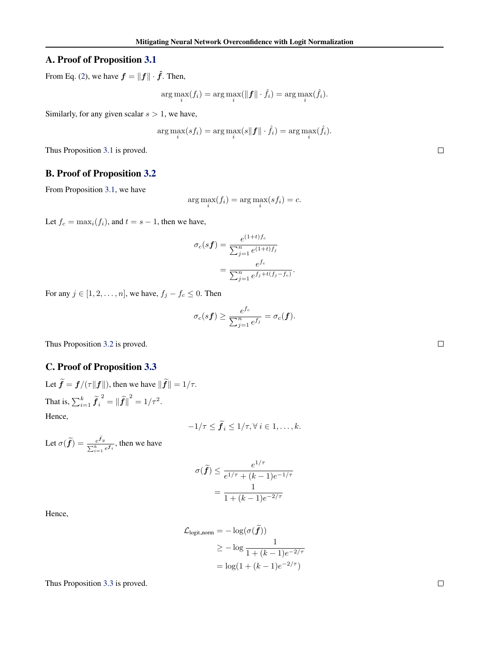## <span id="page-11-0"></span>A. Proof of Proposition [3.1](#page-2-3)

From Eq. [\(2\)](#page-1-0), we have  $f = ||f|| \cdot \hat{f}$ . Then,

$$
\arg\max_{i}(f_i) = \arg\max_{i}(\|\boldsymbol{f}\| \cdot \hat{f}_i) = \arg\max_{i}(\hat{f}_i).
$$

Similarly, for any given scalar  $s > 1$ , we have,

$$
\arg\max_{i}(s f_i) = \arg\max_{i}(s || \boldsymbol{f} || \cdot \hat{f}_i) = \arg\max_{i}(\hat{f}_i).
$$

Thus Proposition [3.1](#page-2-3) is proved.

## <span id="page-11-1"></span>B. Proof of Proposition [3.2](#page-2-0)

From Proposition [3.1,](#page-2-3) we have

$$
\arg\max_{i}(f_i) = \arg\max_{i}(s f_i) = c.
$$

Let  $f_c = \max_i(f_i)$ , and  $t = s - 1$ , then we have,

$$
\sigma_c(sf) = \frac{e^{(1+t)f_c}}{\sum_{j=1}^n e^{(1+t)f_j}}
$$

$$
= \frac{e^{fc}}{\sum_{j=1}^n e^{f_j+t(f_j-f_c)}}
$$

.

For any  $j \in [1, 2, \ldots, n]$ , we have,  $f_j - f_c \leq 0$ . Then

$$
\sigma_c(s\boldsymbol{f}) \geq \frac{e^{f_c}}{\sum_{j=1}^n e^{f_j}} = \sigma_c(\boldsymbol{f}).
$$

Thus Proposition [3.2](#page-2-0) is proved.

## <span id="page-11-2"></span>C. Proof of Proposition [3.3](#page-3-2)

Let  $\tilde{\mathbf{f}} = \mathbf{f}/(\tau \|\mathbf{f}\|)$ , then we have  $\|\tilde{\mathbf{f}}\| = 1/\tau$ . That is,  $\sum_{i=1}^k \widetilde{f}_i$  $2^{2} = ||\widetilde{f}||^{2} = 1/\tau^{2}.$ Hence,

$$
-1/\tau \leq \tilde{f}_i \leq 1/\tau, \forall \ i \in 1,\ldots,k.
$$

Let  $\sigma(\widetilde{\bm{f}}) = \frac{e^{\bm{f}_{\bm{y}}}}{\sum_{i=1}^k}$  $\frac{e^{i\theta}y}{\sum_{i=1}^k e^{i\theta}i}$ , then we have

$$
\sigma(\widetilde{f}) \le \frac{e^{1/\tau}}{e^{1/\tau} + (k-1)e^{-1/\tau}}
$$

$$
= \frac{1}{1 + (k-1)e^{-2/\tau}}
$$

Hence,

$$
\mathcal{L}_{\text{logit-norm}} = -\log(\sigma(\tilde{f}))
$$
  
\n
$$
\geq -\log \frac{1}{1 + (k - 1)e^{-2/\tau}}
$$
  
\n
$$
= \log(1 + (k - 1)e^{-2/\tau})
$$

Thus Proposition [3.3](#page-3-2) is proved.

 $\Box$ 

 $\Box$ 

 $\Box$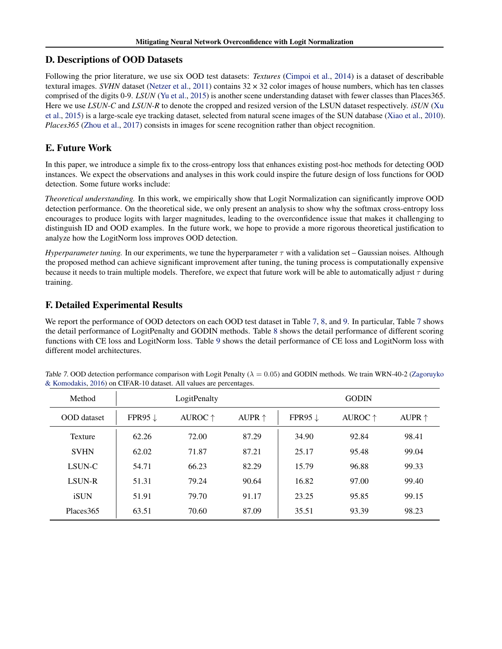# <span id="page-12-0"></span>D. Descriptions of OOD Datasets

Following the prior literature, we use six OOD test datasets: *Textures* [\(Cimpoi et al.,](#page-8-5) [2014\)](#page-8-5) is a dataset of describable textural images. *SVHN* dataset [\(Netzer et al.,](#page-9-7) [2011\)](#page-9-7) contains  $32 \times 32$  color images of house numbers, which has ten classes comprised of the digits 0-9. *LSUN* [\(Yu et al.,](#page-10-3) [2015\)](#page-10-3) is another scene understanding dataset with fewer classes than Places365. Here we use *LSUN-C* and *LSUN-R* to denote the cropped and resized version of the LSUN dataset respectively. *iSUN* [\(Xu](#page-10-4) [et al.,](#page-10-4) [2015\)](#page-10-4) is a large-scale eye tracking dataset, selected from natural scene images of the SUN database [\(Xiao et al.,](#page-10-19) [2010\)](#page-10-19). *Places365* [\(Zhou et al.,](#page-10-2) [2017\)](#page-10-2) consists in images for scene recognition rather than object recognition.

# <span id="page-12-2"></span>E. Future Work

In this paper, we introduce a simple fix to the cross-entropy loss that enhances existing post-hoc methods for detecting OOD instances. We expect the observations and analyses in this work could inspire the future design of loss functions for OOD detection. Some future works include:

*Theoretical understanding.* In this work, we empirically show that Logit Normalization can significantly improve OOD detection performance. On the theoretical side, we only present an analysis to show why the softmax cross-entropy loss encourages to produce logits with larger magnitudes, leading to the overconfidence issue that makes it challenging to distinguish ID and OOD examples. In the future work, we hope to provide a more rigorous theoretical justification to analyze how the LogitNorm loss improves OOD detection.

*Hyperparameter tuning.* In our experiments, we tune the hyperparameter  $\tau$  with a validation set – Gaussian noises. Although the proposed method can achieve significant improvement after tuning, the tuning process is computationally expensive because it needs to train multiple models. Therefore, we expect that future work will be able to automatically adjust  $\tau$  during training.

# <span id="page-12-1"></span>F. Detailed Experimental Results

We report the performance of OOD detectors on each OOD test dataset in Table [7,](#page-12-3) [8,](#page-13-0) and [9.](#page-13-1) In particular, Table [7](#page-12-3) shows the detail performance of LogitPenalty and GODIN methods. Table [8](#page-13-0) shows the detail performance of different scoring functions with CE loss and LogitNorm loss. Table [9](#page-13-1) shows the detail performance of CE loss and LogitNorm loss with different model architectures.

| Method             | LogitPenalty       |                  |                 | <b>GODIN</b>       |                  |                 |
|--------------------|--------------------|------------------|-----------------|--------------------|------------------|-----------------|
| <b>OOD</b> dataset | FPR95 $\downarrow$ | AUROC $\uparrow$ | AUPR $\uparrow$ | FPR95 $\downarrow$ | AUROC $\uparrow$ | AUPR $\uparrow$ |
| Texture            | 62.26              | 72.00            | 87.29           | 34.90              | 92.84            | 98.41           |
| <b>SVHN</b>        | 62.02              | 71.87            | 87.21           | 25.17              | 95.48            | 99.04           |
| LSUN-C             | 54.71              | 66.23            | 82.29           | 15.79              | 96.88            | 99.33           |
| LSUN-R             | 51.31              | 79.24            | 90.64           | 16.82              | 97.00            | 99.40           |
| iSUN               | 51.91              | 79.70            | 91.17           | 23.25              | 95.85            | 99.15           |
| Places 365         | 63.51              | 70.60            | 87.09           | 35.51              | 93.39            | 98.23           |

<span id="page-12-3"></span>Table 7. OOD detection performance comparison with Logit Penalty ( $\lambda = 0.05$ ) and GODIN methods. We train WRN-40-2 [\(Zagoruyko](#page-10-0) [& Komodakis,](#page-10-0) [2016\)](#page-10-0) on CIFAR-10 dataset. All values are percentages.